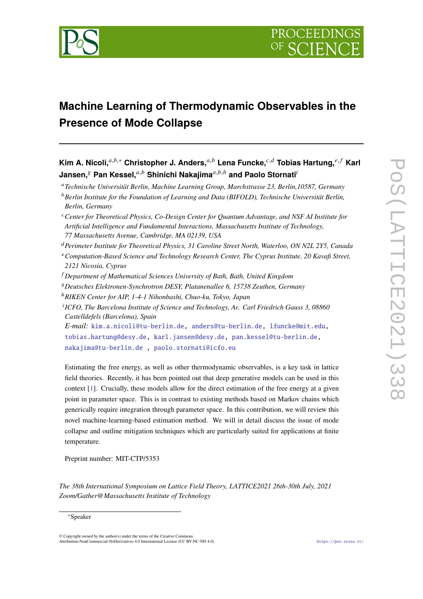

# **Machine Learning of Thermodynamic Observables in the Presence of Mode Collapse**

**Kim A. Nicoli,**<sup>a,b,∗</sup> Christopher J. Anders,<sup>a,b</sup> Lena Funcke,<sup>c,d</sup> Tobias Hartung,<sup>e,f</sup> Karl **Jansen, Pan Kessel,**  $a,b$  Shinichi Nakajima $a,b,h$  and Paolo Stornati<sup>i</sup>

*Technische Universität Berlin, Machine Learning Group, Marchstrasse 23, Berlin,10587, Germany*

- *Perimeter Institute for Theoretical Physics, 31 Caroline Street North, Waterloo, ON N2L 2Y5, Canada Computation-Based Science and Technology Research Center, The Cyprus Institute, 20 Kavafi Street, 2121 Nicosia, Cyprus*
- *Department of Mathematical Sciences University of Bath, Bath, United Kingdom*
- *Deutsches Elektronen-Synchrotron DESY, Platanenallee 6, 15738 Zeuthen, Germany*
- <sup>ℎ</sup>*RIKEN Center for AIP, 1-4-1 Nihonbashi, Chuo-ku, Tokyo, Japan*
- *ICFO, The Barcelona Institute of Science and Technology, Av. Carl Friedrich Gauss 3, 08860 Castelldefels (Barcelona), Spain*

*E-mail:* [kim.a.nicoli@tu-berlin.de,](mailto:kim.a.nicoli@tu-berlin.de) [anders@tu-berlin.de,](mailto:anders@tu-berlin.de) [lfuncke@mit.edu,](mailto:lfuncke@mit.edu) [tobias.hartung@desy.de,](mailto:tobias.hartung@desy.de) [karl.jansen@desy.de,](mailto:karl.jansen@desy.de) [pan.kessel@tu-berlin.de,](mailto:pan.kessel@tu-berlin.de) [nakajima@tu-berlin.de](mailto:nakajima@tu-berlin.de ) , [paolo.stornati@icfo.eu](mailto:paolo.stornati@icfo.eu)

Estimating the free energy, as well as other thermodynamic observables, is a key task in lattice field theories. Recently, it has been pointed out that deep generative models can be used in this context [\[1\]](#page-7-0). Crucially, these models allow for the direct estimation of the free energy at a given point in parameter space. This is in contrast to existing methods based on Markov chains which generically require integration through parameter space. In this contribution, we will review this novel machine-learning-based estimation method. We will in detail discuss the issue of mode collapse and outline mitigation techniques which are particularly suited for applications at finite temperature.

Preprint number: MIT-CTP/5353

*The 38th International Symposium on Lattice Field Theory, LATTICE2021 26th-30th July, 2021 Zoom/Gather@Massachusetts Institute of Technology*

### <sup>∗</sup>Speaker

© Copyright owned by the author(s) under the terms of the Creative Commons Attribution-NonCommercial-NoDerivatives 4.0 International License (CC BY-NC-ND 4.0). <https://pos.sissa.it/>

*Berlin Institute for the Foundation of Learning and Data (BIFOLD), Technische Universität Berlin, Berlin, Germany*

*Center for Theoretical Physics, Co-Design Center for Quantum Advantage, and NSF AI Institute for Artificial Intelligence and Fundamental Interactions, Massachusetts Institute of Technology, 77 Massachusetts Avenue, Cambridge, MA 02139, USA*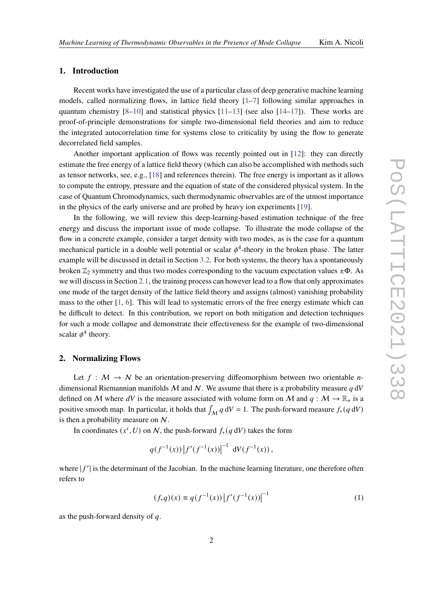# **1. Introduction**

Recent works have investigated the use of a particular class of deep generative machine learning models, called normalizing flows, in lattice field theory  $[1-7]$  $[1-7]$  following similar approaches in quantum chemistry  $[8-10]$  $[8-10]$  and statistical physics  $[11-13]$  $[11-13]$  (see also  $[14-17]$  $[14-17]$ ). These works are proof-of-principle demonstrations for simple two-dimensional field theories and aim to reduce the integrated autocorrelation time for systems close to criticality by using the flow to generate decorrelated field samples.

Another important application of flows was recently pointed out in [\[12\]](#page-8-6): they can directly estimate the free energy of a lattice field theory (which can also be accomplished with methods such as tensor networks, see, e.g., [\[18\]](#page-9-1) and references therein). The free energy is important as it allows to compute the entropy, pressure and the equation of state of the considered physical system. In the case of Quantum Chromodynamics, such thermodynamic observables are of the utmost importance in the physics of the early universe and are probed by heavy ion experiments [\[19\]](#page-9-2).

In the following, we will review this deep-learning-based estimation technique of the free energy and discuss the important issue of mode collapse. To illustrate the mode collapse of the flow in a concrete example, consider a target density with two modes, as is the case for a quantum mechanical particle in a double well potential or scalar  $\phi^4$ -theory in the broken phase. The latter example will be discussed in detail in Section [3.2.](#page-4-0) For both systems, the theory has a spontaneously broken  $\mathbb{Z}_2$  symmetry and thus two modes corresponding to the vacuum expectation values  $\pm \Phi$ . As we will discuss in Section [2.1,](#page-3-0) the training process can however lead to a flow that only approximates one mode of the target density of the lattice field theory and assigns (almost) vanishing probability mass to the other [\[1,](#page-7-0) [6\]](#page-8-7). This will lead to systematic errors of the free energy estimate which can be difficult to detect. In this contribution, we report on both mitigation and detection techniques for such a mode collapse and demonstrate their effectiveness for the example of two-dimensional scalar  $\phi^4$  theory.

#### **2. Normalizing Flows**

Let  $f : \mathcal{M} \to \mathcal{N}$  be an orientation-preserving diffeomorphism between two orientable *n*dimensional Riemannian manifolds  $M$  and  $N$ . We assume that there is a probability measure q dV defined on M where dV is the measure associated with volume form on M and  $q : M \to \mathbb{R}_+$  is a positive smooth map. In particular, it holds that  $\int_M q \, dV = 1$ . The push-forward measure  $f_*(q \, dV)$ is then a probability measure on N.

In coordinates  $(x^i, U)$  on N, the push-forward  $f_*(q dV)$  takes the form

$$
q(f^{-1}(x))|f'(f^{-1}(x))|^{-1} dV(f^{-1}(x)),
$$

where  $|f'|$  is the determinant of the Jacobian. In the machine learning literature, one therefore often refers to

<span id="page-1-0"></span>
$$
(f_*q)(x) \equiv q(f^{-1}(x)) |f'(f^{-1}(x))|^{-1}
$$
 (1)

as the push-forward density of  $q$ .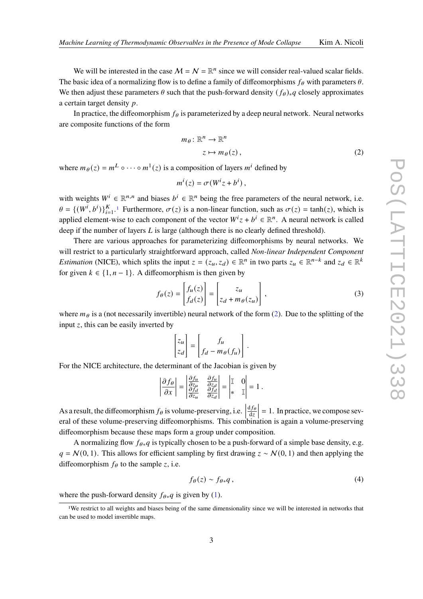We will be interested in the case  $M = N = \mathbb{R}^n$  since we will consider real-valued scalar fields. The basic idea of a normalizing flow is to define a family of diffeomorphisms  $f_{\theta}$  with parameters  $\theta$ . We then adjust these parameters  $\theta$  such that the push-forward density  $(f_{\theta})_*q$  closely approximates a certain target density  $p$ .

In practice, the diffeomorphism  $f_{\theta}$  is parameterized by a deep neural network. Neural networks are composite functions of the form

<span id="page-2-1"></span>
$$
m_{\theta}: \mathbb{R}^n \to \mathbb{R}^n
$$
  

$$
z \mapsto m_{\theta}(z),
$$
 (2)

where  $m_{\theta}(z) = m^L \circ \cdots \circ m^1(z)$  is a composition of layers  $m^i$  defined by

$$
m^i(z) = \sigma(W^iz + b^i),
$$

with weights  $W^i \in \mathbb{R}^{n,n}$  and biases  $b^i \in \mathbb{R}^n$  being the free parameters of the neural network, i.e.  $\theta = \{ (W^i, b^i) \}_{i=1}^K$  $\theta = \{ (W^i, b^i) \}_{i=1}^K$  $\theta = \{ (W^i, b^i) \}_{i=1}^K$ .<sup>1</sup> Furthermore,  $\sigma(z)$  is a non-linear function, such as  $\sigma(z) = \tanh(z)$ , which is applied element-wise to each component of the vector  $W^i z + b^i \in \mathbb{R}^n$ . A neural network is called deep if the number of layers  $L$  is large (although there is no clearly defined threshold).

There are various approaches for parameterizing diffeomorphisms by neural networks. We will restrict to a particularly straightforward approach, called *Non-linear Independent Component Estimation* (NICE), which splits the input  $z = (z_u, z_d) \in \mathbb{R}^n$  in two parts  $z_u \in \mathbb{R}^{n-k}$  and  $z_d \in \mathbb{R}^k$ for given  $k \in \{1, n-1\}$ . A diffeomorphism is then given by

$$
f_{\theta}(z) = \begin{bmatrix} f_u(z) \\ f_d(z) \end{bmatrix} = \begin{bmatrix} z_u \\ z_d + m_{\theta}(z_u) \end{bmatrix},
$$
 (3)

where  $m_\theta$  is a (not necessarily invertible) neural network of the form [\(2\)](#page-2-1). Due to the splitting of the input  $z$ , this can be easily inverted by

$$
\begin{bmatrix} z_u \\ z_d \end{bmatrix} = \begin{bmatrix} f_u \\ f_d - m_\theta(f_u) \end{bmatrix}.
$$

For the NICE architecture, the determinant of the Jacobian is given by

$$
\left|\frac{\partial f_{\theta}}{\partial x}\right| = \begin{vmatrix} \frac{\partial f_{u}}{\partial z_{u}} & \frac{\partial f_{u}}{\partial z_{d}} \\ \frac{\partial f_{d}}{\partial z_{u}} & \frac{\partial f_{d}}{\partial z_{d}} \end{vmatrix} = \begin{vmatrix} \mathbb{I} & 0 \\ * & \mathbb{I} \end{vmatrix} = 1.
$$

As a result, the diffeomorphism  $f_{\theta}$  is volume-preserving, i.e.  $df_{\theta}$  $\overline{dz}$  $\vert$  = 1. In practice, we compose several of these volume-preserving diffeomorphisms. This combination is again a volume-preserving diffeomorphism because these maps form a group under composition.

A normalizing flow  $f_{\theta*q}$  is typically chosen to be a push-forward of a simple base density, e.g.  $q = N(0, 1)$ . This allows for efficient sampling by first drawing  $z \sim N(0, 1)$  and then applying the diffeomorphism  $f_{\theta}$  to the sample z, i.e.

<span id="page-2-2"></span>
$$
f_{\theta}(z) \sim f_{\theta*}q, \qquad (4)
$$

where the push-forward density  $f_{\theta*q}$  is given by [\(1\)](#page-1-0).

<span id="page-2-0"></span><sup>1</sup>We restrict to all weights and biases being of the same dimensionality since we will be interested in networks that can be used to model invertible maps.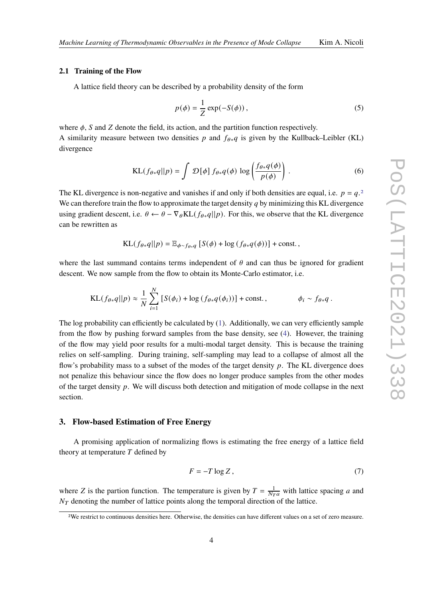### <span id="page-3-0"></span>**2.1 Training of the Flow**

A lattice field theory can be described by a probability density of the form

$$
p(\phi) = \frac{1}{Z} \exp(-S(\phi)),
$$
\n(5)

where  $\phi$ , S and Z denote the field, its action, and the partition function respectively. A similarity measure between two densities p and  $f_{\theta*q}$  is given by the Kullback–Leibler (KL) divergence

$$
KL(f_{\theta*q}||p) = \int \mathcal{D}[\phi] f_{\theta*q}(\phi) \log \left( \frac{f_{\theta*q}(\phi)}{p(\phi)} \right).
$$
 (6)

The KL divergence is non-negative and vanishes if and only if both densities are equal, i.e.  $p = q<sup>2</sup>$  $p = q<sup>2</sup>$  $p = q<sup>2</sup>$ We can therefore train the flow to approximate the target density  $q$  by minimizing this KL divergence using gradient descent, i.e.  $\theta \leftarrow \theta - \nabla_{\theta} KL(f_{\theta * q} || p)$ . For this, we observe that the KL divergence can be rewritten as

$$
KL(f_{\theta*q}||p) = \mathbb{E}_{\phi \sim f_{\theta*q}} [S(\phi) + \log (f_{\theta*q}(\phi))] + \text{const.},
$$

where the last summand contains terms independent of  $\theta$  and can thus be ignored for gradient descent. We now sample from the flow to obtain its Monte-Carlo estimator, i.e.

$$
\text{KL}(f_{\theta*}q||p) \approx \frac{1}{N} \sum_{i=1}^{N} \left[ S(\phi_i) + \log \left( f_{\theta*}q(\phi_i) \right) \right] + \text{const.}, \qquad \phi_i \sim f_{\theta*}q.
$$

The log probability can efficiently be calculated by [\(1\)](#page-1-0). Additionally, we can very efficiently sample from the flow by pushing forward samples from the base density, see [\(4\)](#page-2-2). However, the training of the flow may yield poor results for a multi-modal target density. This is because the training relies on self-sampling. During training, self-sampling may lead to a collapse of almost all the flow's probability mass to a subset of the modes of the target density  $p$ . The KL divergence does not penalize this behaviour since the flow does no longer produce samples from the other modes of the target density  $p$ . We will discuss both detection and mitigation of mode collapse in the next section.

## **3. Flow-based Estimation of Free Energy**

A promising application of normalizing flows is estimating the free energy of a lattice field theory at temperature  $T$  defined by

$$
F = -T \log Z, \tag{7}
$$

where Z is the partion function. The temperature is given by  $T = \frac{1}{N_T a}$  with lattice spacing a and  $N_T$  denoting the number of lattice points along the temporal direction of the lattice.

<span id="page-3-1"></span><sup>2</sup>We restrict to continuous densities here. Otherwise, the densities can have different values on a set of zero measure.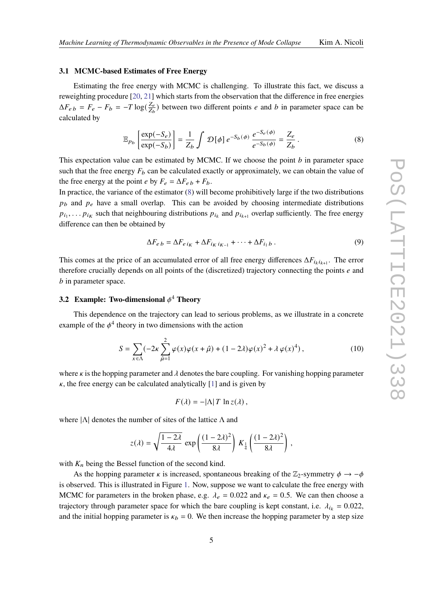## <span id="page-4-2"></span>**3.1 MCMC-based Estimates of Free Energy**

Estimating the free energy with MCMC is challenging. To illustrate this fact, we discuss a reweighting procedure [\[20,](#page-9-3) [21\]](#page-9-4) which starts from the observation that the difference in free energies  $\Delta F_{e b} = F_{e} - F_{b} = -T \log(\frac{Z_{e}}{Z_{b}})$  $\frac{Z_e}{Z_b}$ ) between two different points *e* and *b* in parameter space can be calculated by

<span id="page-4-1"></span>
$$
\mathbb{E}_{p_b} \left[ \frac{\exp(-S_e)}{\exp(-S_b)} \right] = \frac{1}{Z_b} \int \mathcal{D}[\phi] e^{-S_b(\phi)} \frac{e^{-S_e(\phi)}}{e^{-S_b(\phi)}} = \frac{Z_e}{Z_b}.
$$
 (8)

This expectation value can be estimated by MCMC. If we choose the point  $b$  in parameter space such that the free energy  $F_b$  can be calculated exactly or approximately, we can obtain the value of the free energy at the point *e* by  $F_e = \Delta F_{e} + F_b$ .

In practice, the variance of the estimator [\(8\)](#page-4-1) will become prohibitively large if the two distributions  $p_b$  and  $p_e$  have a small overlap. This can be avoided by choosing intermediate distributions  $p_{i_1}, \ldots, p_{i_K}$  such that neighbouring distributions  $p_{i_k}$  and  $p_{i_{k+1}}$  overlap sufficiently. The free energy difference can then be obtained by

$$
\Delta F_{e b} = \Delta F_{e i_K} + \Delta F_{i_K i_{K-1}} + \dots + \Delta F_{i_1 b} \,. \tag{9}
$$

This comes at the price of an accumulated error of all free energy differences  $\Delta F_{i_k i_{k+1}}$ . The error therefore crucially depends on all points of the (discretized) trajectory connecting the points  $e$  and  $b$  in parameter space.

# <span id="page-4-0"></span>**3.2 Example: Two-dimensional**  $\phi^4$  **Theory**

This dependence on the trajectory can lead to serious problems, as we illustrate in a concrete example of the  $\phi^4$  theory in two dimensions with the action

$$
S = \sum_{x \in \Lambda} (-2\kappa \sum_{\hat{\mu}=1}^{2} \varphi(x)\varphi(x+\hat{\mu}) + (1-2\lambda)\varphi(x)^{2} + \lambda \varphi(x)^{4}), \qquad (10)
$$

where  $\kappa$  is the hopping parameter and  $\lambda$  denotes the bare coupling. For vanishing hopping parameter  $\kappa$ , the free energy can be calculated analytically [\[1\]](#page-7-0) and is given by

$$
F(\lambda) = -|\Lambda| T \ln z(\lambda),
$$

where  $|\Lambda|$  denotes the number of sites of the lattice  $\Lambda$  and

$$
z(\lambda) = \sqrt{\frac{1-2\lambda}{4\lambda}} \exp\left(\frac{(1-2\lambda)^2}{8\lambda}\right) K_{\frac{1}{4}}\left(\frac{(1-2\lambda)^2}{8\lambda}\right),
$$

with  $K_n$  being the Bessel function of the second kind.

As the hopping parameter  $\kappa$  is increased, spontaneous breaking of the  $\mathbb{Z}_2$ -symmetry  $\phi \to -\phi$ is observed. This is illustrated in Figure [1.](#page-5-0) Now, suppose we want to calculate the free energy with MCMC for parameters in the broken phase, e.g.  $\lambda_e = 0.022$  and  $\kappa_e = 0.5$ . We can then choose a trajectory through parameter space for which the bare coupling is kept constant, i.e.  $\lambda_{i_k} = 0.022$ , and the initial hopping parameter is  $\kappa_b = 0$ . We then increase the hopping parameter by a step size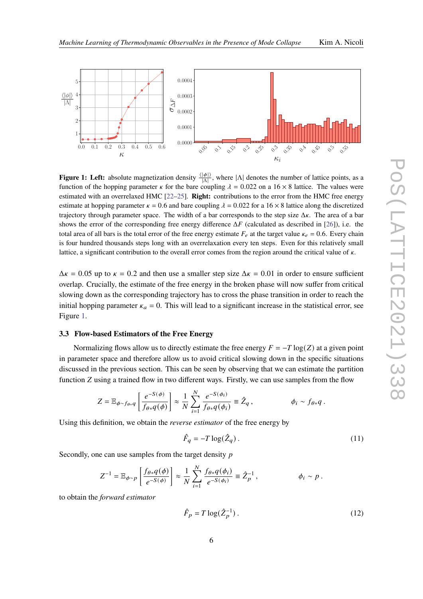<span id="page-5-0"></span>

**Figure 1: Left:** absolute magnetization density  $\frac{\langle |\phi| \rangle}{|\Lambda|}$ , where  $|\Lambda|$  denotes the number of lattice points, as a function of the hopping parameter  $\kappa$  for the bare coupling  $\lambda = 0.022$  on a 16  $\times$  8 lattice. The values were estimated with an overrelaxed HMC [\[22–](#page-9-5)[25\]](#page-9-6). **Right:** contributions to the error from the HMC free energy estimate at hopping parameter  $\kappa = 0.6$  and bare coupling  $\lambda = 0.022$  for a 16  $\times$  8 lattice along the discretized trajectory through parameter space. The width of a bar corresponds to the step size  $\Delta \kappa$ . The area of a bar shows the error of the corresponding free energy difference  $\Delta F$  (calculated as described in [\[26\]](#page-9-7)), i.e. the total area of all bars is the total error of the free energy estimate  $F_e$  at the target value  $\kappa_e = 0.6$ . Every chain is four hundred thousands steps long with an overrelaxation every ten steps. Even for this relatively small lattice, a significant contribution to the overall error comes from the region around the critical value of  $\kappa$ .

 $\Delta \kappa = 0.05$  up to  $\kappa = 0.2$  and then use a smaller step size  $\Delta \kappa = 0.01$  in order to ensure sufficient overlap. Crucially, the estimate of the free energy in the broken phase will now suffer from critical slowing down as the corresponding trajectory has to cross the phase transition in order to reach the initial hopping parameter  $\kappa_a = 0$ . This will lead to a significant increase in the statistical error, see Figure [1.](#page-5-0)

## **3.3 Flow-based Estimators of the Free Energy**

Normalizing flows allow us to directly estimate the free energy  $F = -T \log(Z)$  at a given point in parameter space and therefore allow us to avoid critical slowing down in the specific situations discussed in the previous section. This can be seen by observing that we can estimate the partition function  $Z$  using a trained flow in two different ways. Firstly, we can use samples from the flow

$$
Z = \mathbb{E}_{\phi \sim f_{\theta * q}} \left[ \frac{e^{-S(\phi)}}{f_{\theta * q}(\phi)} \right] \approx \frac{1}{N} \sum_{i=1}^N \frac{e^{-S(\phi_i)}}{f_{\theta * q}(\phi_i)} \equiv \hat{Z}_q , \qquad \phi_i \sim f_{\theta * q} .
$$

Using this definition, we obtain the *reverse estimator* of the free energy by

<span id="page-5-2"></span>
$$
\hat{F}_q = -T \log(\hat{Z}_q) \,. \tag{11}
$$

Secondly, one can use samples from the target density p

$$
Z^{-1} = \mathbb{E}_{\phi \sim p} \left[ \frac{f_{\theta*} q(\phi)}{e^{-S(\phi)}} \right] \approx \frac{1}{N} \sum_{i=1}^N \frac{f_{\theta*} q(\phi_i)}{e^{-S(\phi_i)}} \equiv \hat{Z}_p^{-1}, \qquad \phi_i \sim p.
$$

to obtain the *forward estimator*

<span id="page-5-1"></span>
$$
\hat{F}_p = T \log(\hat{Z}_p^{-1}) \tag{12}
$$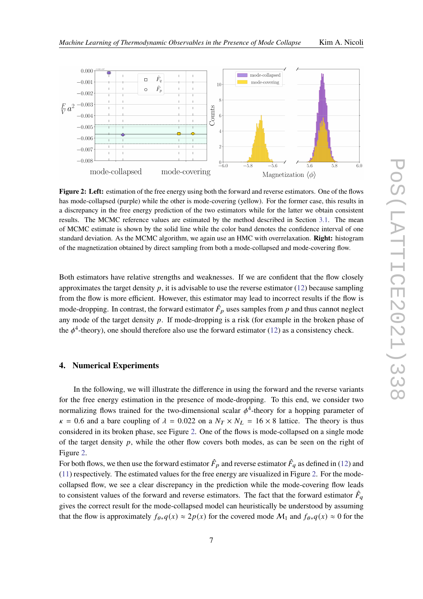

<span id="page-6-0"></span>

**Figure 2: Left:** estimation of the free energy using both the forward and reverse estimators. One of the flows has mode-collapsed (purple) while the other is mode-covering (yellow). For the former case, this results in a discrepancy in the free energy prediction of the two estimators while for the latter we obtain consistent results. The MCMC reference values are estimated by the method described in Section [3.1.](#page-4-2) The mean of MCMC estimate is shown by the solid line while the color band denotes the confidence interval of one standard deviation. As the MCMC algorithm, we again use an HMC with overrelaxation. **Right:** histogram of the magnetization obtained by direct sampling from both a mode-collapsed and mode-covering flow.

Both estimators have relative strengths and weaknesses. If we are confident that the flow closely approximates the target density  $p$ , it is advisable to use the reverse estimator [\(12\)](#page-5-1) because sampling from the flow is more efficient. However, this estimator may lead to incorrect results if the flow is mode-dropping. In contrast, the forward estimator  $\hat{F}_p$  uses samples from p and thus cannot neglect any mode of the target density  $p$ . If mode-dropping is a risk (for example in the broken phase of the  $\phi^4$ -theory), one should therefore also use the forward estimator [\(12\)](#page-5-1) as a consistency check.

## **4. Numerical Experiments**

In the following, we will illustrate the difference in using the forward and the reverse variants for the free energy estimation in the presence of mode-dropping. To this end, we consider two normalizing flows trained for the two-dimensional scalar  $\phi^4$ -theory for a hopping parameter of  $\kappa = 0.6$  and a bare coupling of  $\lambda = 0.022$  on a  $N_T \times N_L = 16 \times 8$  lattice. The theory is thus considered in its broken phase, see Figure [2.](#page-6-0) One of the flows is mode-collapsed on a single mode of the target density  $p$ , while the other flow covers both modes, as can be seen on the right of Figure [2.](#page-6-0)

For both flows, we then use the forward estimator  $\hat{F}_p$  and reverse estimator  $\hat{F}_q$  as defined in [\(12\)](#page-5-1) and [\(11\)](#page-5-2) respectively. The estimated values for the free energy are visualized in Figure [2.](#page-6-0) For the modecollapsed flow, we see a clear discrepancy in the prediction while the mode-covering flow leads to consistent values of the forward and reverse estimators. The fact that the forward estimator  $\hat{F}_q$ gives the correct result for the mode-collapsed model can heuristically be understood by assuming that the flow is approximately  $f_{\theta*q}(x) \approx 2p(x)$  for the covered mode  $\mathcal{M}_1$  and  $f_{\theta*q}(x) \approx 0$  for the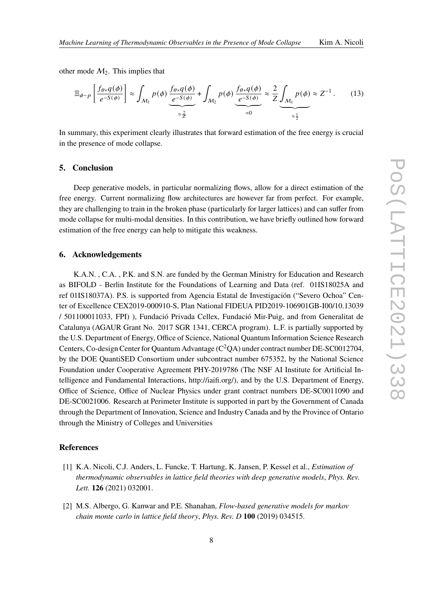other mode  $M_2$ . This implies that

$$
\mathbb{E}_{\phi \sim p} \left[ \frac{f_{\theta*} q(\phi)}{e^{-S(\phi)}} \right] \approx \int_{\mathcal{M}_1} p(\phi) \underbrace{\frac{f_{\theta*} q(\phi)}{e^{-S(\phi)}}}_{\approx \frac{2}{Z}} + \int_{\mathcal{M}_2} p(\phi) \underbrace{\frac{f_{\theta*} q(\phi)}{e^{-S(\phi)}}}_{\approx 0} \approx \frac{2}{Z} \underbrace{\int_{\mathcal{M}_1} p(\phi)}_{\approx \frac{1}{Z}} \approx Z^{-1}.
$$
 (13)

In summary, this experiment clearly illustrates that forward estimation of the free energy is crucial in the presence of mode collapse.

## **5. Conclusion**

Deep generative models, in particular normalizing flows, allow for a direct estimation of the free energy. Current normalizing flow architectures are however far from perfect. For example, they are challenging to train in the broken phase (particularly for larger lattices) and can suffer from mode collapse for multi-modal densities. In this contribution, we have briefly outlined how forward estimation of the free energy can help to mitigate this weakness.

## **6. Acknowledgements**

K.A.N. , C.A. , P.K. and S.N. are funded by the German Ministry for Education and Research as BIFOLD - Berlin Institute for the Foundations of Learning and Data (ref. 01IS18025A and ref 01IS18037A). P.S. is supported from Agencia Estatal de Investigación ("Severo Ochoa" Center of Excellence CEX2019-000910-S, Plan National FIDEUA PID2019-106901GB-I00/10.13039 / 501100011033, FPI) ), Fundació Privada Cellex, Fundació Mir-Puig, and from Generalitat de Catalunya (AGAUR Grant No. 2017 SGR 1341, CERCA program). L.F. is partially supported by the U.S. Department of Energy, Office of Science, National Quantum Information Science Research Centers, Co-design Center for Quantum Advantage  $(C^2QA)$  under contract number DE-SC0012704, by the DOE QuantiSED Consortium under subcontract number 675352, by the National Science Foundation under Cooperative Agreement PHY-2019786 (The NSF AI Institute for Artificial Intelligence and Fundamental Interactions, http://iaifi.org/), and by the U.S. Department of Energy, Office of Science, Office of Nuclear Physics under grant contract numbers DE-SC0011090 and DE-SC0021006. Research at Perimeter Institute is supported in part by the Government of Canada through the Department of Innovation, Science and Industry Canada and by the Province of Ontario through the Ministry of Colleges and Universities

## **References**

- <span id="page-7-0"></span>[1] K.A. Nicoli, C.J. Anders, L. Funcke, T. Hartung, K. Jansen, P. Kessel et al., *Estimation of thermodynamic observables in lattice field theories with deep generative models*, *Phys. Rev. Lett.* **126** (2021) 032001.
- [2] M.S. Albergo, G. Kanwar and P.E. Shanahan, *Flow-based generative models for markov chain monte carlo in lattice field theory*, *Phys. Rev. D* **100** (2019) 034515.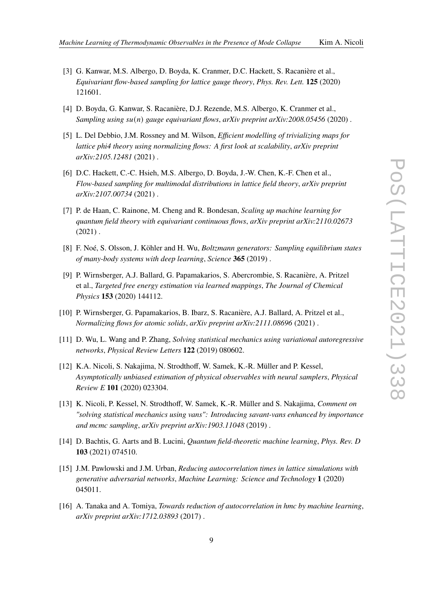- [3] G. Kanwar, M.S. Albergo, D. Boyda, K. Cranmer, D.C. Hackett, S. Racanière et al., *Equivariant flow-based sampling for lattice gauge theory*, *Phys. Rev. Lett.* **125** (2020) 121601.
- [4] D. Boyda, G. Kanwar, S. Racanière, D.J. Rezende, M.S. Albergo, K. Cranmer et al., *Sampling using su(n) gauge equivariant flows, arXiv preprint arXiv:2008.05456* (2020).
- [5] L. Del Debbio, J.M. Rossney and M. Wilson, *Efficient modelling of trivializing maps for lattice phi4 theory using normalizing flows: A first look at scalability*, *arXiv preprint arXiv:2105.12481* (2021) .
- <span id="page-8-7"></span>[6] D.C. Hackett, C.-C. Hsieh, M.S. Albergo, D. Boyda, J.-W. Chen, K.-F. Chen et al., *Flow-based sampling for multimodal distributions in lattice field theory*, *arXiv preprint arXiv:2107.00734* (2021) .
- <span id="page-8-0"></span>[7] P. de Haan, C. Rainone, M. Cheng and R. Bondesan, *Scaling up machine learning for quantum field theory with equivariant continuous flows*, *arXiv preprint arXiv:2110.02673*  $(2021)$ .
- <span id="page-8-1"></span>[8] F. Noé, S. Olsson, J. Köhler and H. Wu, *Boltzmann generators: Sampling equilibrium states of many-body systems with deep learning*, *Science* **365** (2019) .
- [9] P. Wirnsberger, A.J. Ballard, G. Papamakarios, S. Abercrombie, S. Racanière, A. Pritzel et al., *Targeted free energy estimation via learned mappings*, *The Journal of Chemical Physics* **153** (2020) 144112.
- <span id="page-8-2"></span>[10] P. Wirnsberger, G. Papamakarios, B. Ibarz, S. Racanière, A.J. Ballard, A. Pritzel et al., *Normalizing flows for atomic solids*, *arXiv preprint arXiv:2111.08696* (2021) .
- <span id="page-8-3"></span>[11] D. Wu, L. Wang and P. Zhang, *Solving statistical mechanics using variational autoregressive networks*, *Physical Review Letters* **122** (2019) 080602.
- <span id="page-8-6"></span>[12] K.A. Nicoli, S. Nakajima, N. Strodthoff, W. Samek, K.-R. Müller and P. Kessel, *Asymptotically unbiased estimation of physical observables with neural samplers*, *Physical Review E* **101** (2020) 023304.
- <span id="page-8-4"></span>[13] K. Nicoli, P. Kessel, N. Strodthoff, W. Samek, K.-R. Müller and S. Nakajima, *Comment on "solving statistical mechanics using vans": Introducing savant-vans enhanced by importance and mcmc sampling*, *arXiv preprint arXiv:1903.11048* (2019) .
- <span id="page-8-5"></span>[14] D. Bachtis, G. Aarts and B. Lucini, *Quantum field-theoretic machine learning*, *Phys. Rev. D* **103** (2021) 074510.
- [15] J.M. Pawlowski and J.M. Urban, *Reducing autocorrelation times in lattice simulations with generative adversarial networks*, *Machine Learning: Science and Technology* **1** (2020) 045011.
- [16] A. Tanaka and A. Tomiya, *Towards reduction of autocorrelation in hmc by machine learning*, *arXiv preprint arXiv:1712.03893* (2017) .